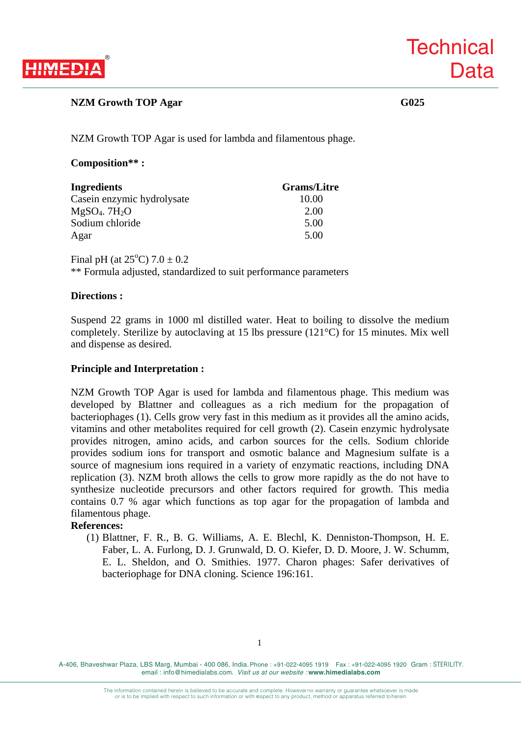

## **NZM Growth TOP Agar** G025

**Technical** 

**Data** 

NZM Growth TOP Agar is used for lambda and filamentous phage.

### **Composition\*\* :**

| <b>Ingredients</b>          | <b>Grams/Litre</b> |
|-----------------------------|--------------------|
| Casein enzymic hydrolysate  | 10.00              |
| $MgSO4$ . 7H <sub>2</sub> O | 2.00               |
| Sodium chloride             | 5.00               |
| Agar                        | 5.00               |

Final pH (at  $25^{\circ}$ C)  $7.0 \pm 0.2$ 

\*\* Formula adjusted, standardized to suit performance parameters

## **Directions :**

Suspend 22 grams in 1000 ml distilled water. Heat to boiling to dissolve the medium completely. Sterilize by autoclaving at 15 lbs pressure (121°C) for 15 minutes. Mix well and dispense as desired.

### **Principle and Interpretation :**

NZM Growth TOP Agar is used for lambda and filamentous phage. This medium was developed by Blattner and colleagues as a rich medium for the propagation of bacteriophages (1). Cells grow very fast in this medium as it provides all the amino acids, vitamins and other metabolites required for cell growth (2). Casein enzymic hydrolysate provides nitrogen, amino acids, and carbon sources for the cells. Sodium chloride provides sodium ions for transport and osmotic balance and Magnesium sulfate is a source of magnesium ions required in a variety of enzymatic reactions, including DNA replication (3). NZM broth allows the cells to grow more rapidly as the do not have to synthesize nucleotide precursors and other factors required for growth. This media contains 0.7 % agar which functions as top agar for the propagation of lambda and filamentous phage.

#### **References:**

(1) Blattner, F. R., B. G. Williams, A. E. Blechl, K. Denniston-Thompson, H. E. Faber, L. A. Furlong, D. J. Grunwald, D. O. Kiefer, D. D. Moore, J. W. Schumm, E. L. Sheldon, and O. Smithies. 1977. Charon phages: Safer derivatives of bacteriophage for DNA cloning. Science 196:161.

A-406, Bhaveshwar Plaza, LBS Marg, Mumbai - 400 086, India. Phone : +91-022-4095 1919 Fax : +91-022-4095 1920 Gram : STERILITY. email : info@himedialabs.com. *Visit us at our website :* **www.himedialabs.com**